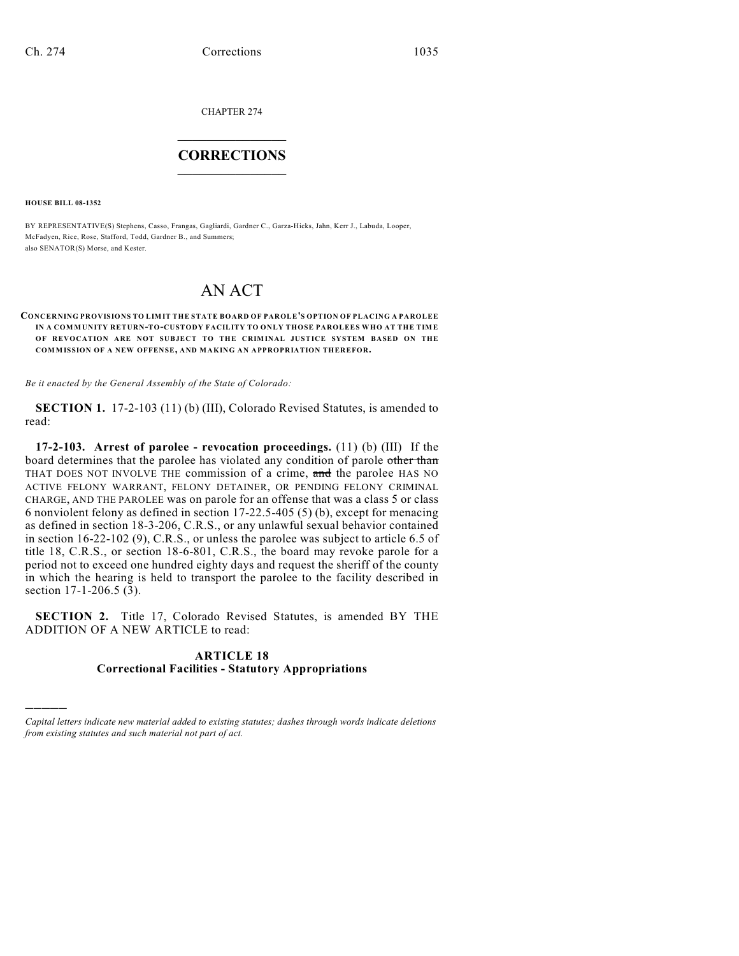CHAPTER 274

## $\overline{\phantom{a}}$  . The set of the set of the set of the set of the set of the set of the set of the set of the set of the set of the set of the set of the set of the set of the set of the set of the set of the set of the set o **CORRECTIONS**  $\frac{1}{2}$  ,  $\frac{1}{2}$  ,  $\frac{1}{2}$  ,  $\frac{1}{2}$  ,  $\frac{1}{2}$  ,  $\frac{1}{2}$

**HOUSE BILL 08-1352**

)))))

BY REPRESENTATIVE(S) Stephens, Casso, Frangas, Gagliardi, Gardner C., Garza-Hicks, Jahn, Kerr J., Labuda, Looper, McFadyen, Rice, Rose, Stafford, Todd, Gardner B., and Summers; also SENATOR(S) Morse, and Kester.

## AN ACT

## **CONCERNING PROVISIONS TO LIMIT THE STATE BOARD OF PAROLE'S OPTION OF PLACING A PAROLEE IN A COMMUNITY RETURN-TO-CUSTODY FACILITY TO ONLY THOSE PAROLEES WHO AT THE TIM E OF REVOCATION ARE NOT SUBJECT TO THE CRIMINAL JUSTICE SYSTEM BASED ON THE COMMISSION OF A NEW OFFENSE, AND MAKING AN APPROPRIATION THEREFOR.**

*Be it enacted by the General Assembly of the State of Colorado:*

**SECTION 1.** 17-2-103 (11) (b) (III), Colorado Revised Statutes, is amended to read:

**17-2-103. Arrest of parolee - revocation proceedings.** (11) (b) (III) If the board determines that the parolee has violated any condition of parole other than THAT DOES NOT INVOLVE THE commission of a crime, and the parolee HAS NO ACTIVE FELONY WARRANT, FELONY DETAINER, OR PENDING FELONY CRIMINAL CHARGE, AND THE PAROLEE was on parole for an offense that was a class 5 or class 6 nonviolent felony as defined in section 17-22.5-405 (5) (b), except for menacing as defined in section 18-3-206, C.R.S., or any unlawful sexual behavior contained in section 16-22-102 (9), C.R.S., or unless the parolee was subject to article 6.5 of title 18, C.R.S., or section 18-6-801, C.R.S., the board may revoke parole for a period not to exceed one hundred eighty days and request the sheriff of the county in which the hearing is held to transport the parolee to the facility described in section 17-1-206.5 (3).

**SECTION 2.** Title 17, Colorado Revised Statutes, is amended BY THE ADDITION OF A NEW ARTICLE to read:

## **ARTICLE 18 Correctional Facilities - Statutory Appropriations**

*Capital letters indicate new material added to existing statutes; dashes through words indicate deletions from existing statutes and such material not part of act.*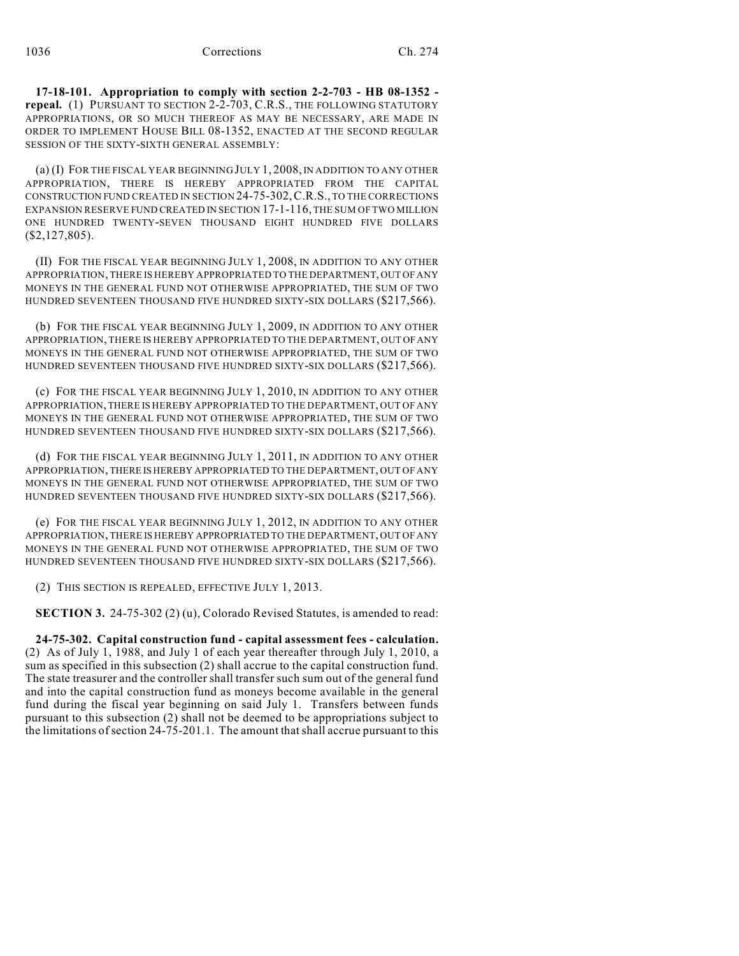**17-18-101. Appropriation to comply with section 2-2-703 - HB 08-1352 repeal.** (1) PURSUANT TO SECTION 2-2-703, C.R.S., THE FOLLOWING STATUTORY APPROPRIATIONS, OR SO MUCH THEREOF AS MAY BE NECESSARY, ARE MADE IN ORDER TO IMPLEMENT HOUSE BILL 08-1352, ENACTED AT THE SECOND REGULAR SESSION OF THE SIXTY-SIXTH GENERAL ASSEMBLY:

(a) (I) FOR THE FISCAL YEAR BEGINNING JULY 1, 2008, IN ADDITION TO ANY OTHER APPROPRIATION, THERE IS HEREBY APPROPRIATED FROM THE CAPITAL CONSTRUCTION FUND CREATED IN SECTION 24-75-302,C.R.S., TO THE CORRECTIONS EXPANSION RESERVE FUND CREATED IN SECTION 17-1-116, THE SUM OF TWO MILLION ONE HUNDRED TWENTY-SEVEN THOUSAND EIGHT HUNDRED FIVE DOLLARS (\$2,127,805).

(II) FOR THE FISCAL YEAR BEGINNING JULY 1, 2008, IN ADDITION TO ANY OTHER APPROPRIATION, THERE IS HEREBY APPROPRIATED TO THE DEPARTMENT, OUT OF ANY MONEYS IN THE GENERAL FUND NOT OTHERWISE APPROPRIATED, THE SUM OF TWO HUNDRED SEVENTEEN THOUSAND FIVE HUNDRED SIXTY-SIX DOLLARS (\$217,566).

(b) FOR THE FISCAL YEAR BEGINNING JULY 1, 2009, IN ADDITION TO ANY OTHER APPROPRIATION, THERE IS HEREBY APPROPRIATED TO THE DEPARTMENT, OUT OF ANY MONEYS IN THE GENERAL FUND NOT OTHERWISE APPROPRIATED, THE SUM OF TWO HUNDRED SEVENTEEN THOUSAND FIVE HUNDRED SIXTY-SIX DOLLARS (\$217,566).

(c) FOR THE FISCAL YEAR BEGINNING JULY 1, 2010, IN ADDITION TO ANY OTHER APPROPRIATION, THERE IS HEREBY APPROPRIATED TO THE DEPARTMENT, OUT OF ANY MONEYS IN THE GENERAL FUND NOT OTHERWISE APPROPRIATED, THE SUM OF TWO HUNDRED SEVENTEEN THOUSAND FIVE HUNDRED SIXTY-SIX DOLLARS (\$217,566).

(d) FOR THE FISCAL YEAR BEGINNING JULY 1, 2011, IN ADDITION TO ANY OTHER APPROPRIATION, THERE IS HEREBY APPROPRIATED TO THE DEPARTMENT, OUT OF ANY MONEYS IN THE GENERAL FUND NOT OTHERWISE APPROPRIATED, THE SUM OF TWO HUNDRED SEVENTEEN THOUSAND FIVE HUNDRED SIXTY-SIX DOLLARS (\$217,566).

(e) FOR THE FISCAL YEAR BEGINNING JULY 1, 2012, IN ADDITION TO ANY OTHER APPROPRIATION, THERE IS HEREBY APPROPRIATED TO THE DEPARTMENT, OUT OF ANY MONEYS IN THE GENERAL FUND NOT OTHERWISE APPROPRIATED, THE SUM OF TWO HUNDRED SEVENTEEN THOUSAND FIVE HUNDRED SIXTY-SIX DOLLARS (\$217,566).

(2) THIS SECTION IS REPEALED, EFFECTIVE JULY 1, 2013.

**SECTION 3.** 24-75-302 (2) (u), Colorado Revised Statutes, is amended to read:

**24-75-302. Capital construction fund - capital assessment fees - calculation.** (2) As of July 1, 1988, and July 1 of each year thereafter through July 1, 2010, a sum as specified in this subsection (2) shall accrue to the capital construction fund. The state treasurer and the controller shall transfer such sum out of the general fund and into the capital construction fund as moneys become available in the general fund during the fiscal year beginning on said July 1. Transfers between funds pursuant to this subsection (2) shall not be deemed to be appropriations subject to the limitations of section 24-75-201.1. The amount that shall accrue pursuant to this